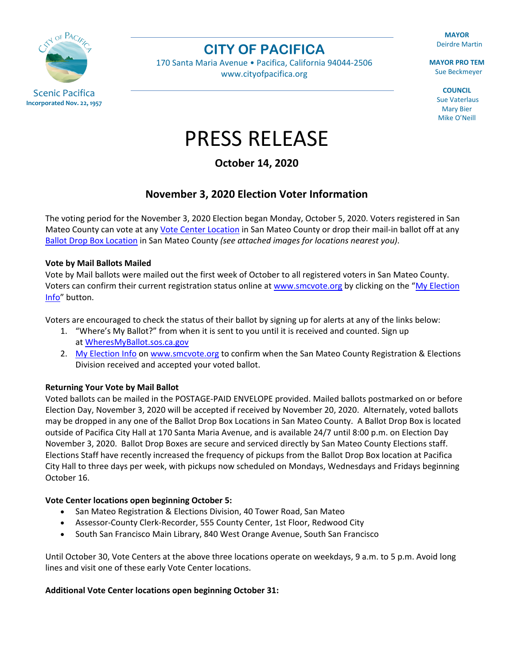

**CITY OF PACIFICA**

170 Santa Maria Avenue • Pacifica, California 94044-2506 [www.cityofpacifica.org](http://www.cityofpacifica.org/)

**MAYOR** Deirdre Martin

**MAYOR PRO TEM** Sue Beckmeyer

> **COUNCIL** Sue Vaterlaus Mary Bier Mike O'Neill

# PRESS RELEASE

**October 14, 2020**

# **November 3, 2020 Election Voter Information**

The voting period for the November 3, 2020 Election began Monday, October 5, 2020. Voters registered in San Mateo County can vote at any [Vote Center Location](https://www.smcacre.org/vote/all/centers) in San Mateo County or drop their mail-in ballot off at any Ballot [Drop Box Location](https://www.smcacre.org/vote/all/ballots) in San Mateo County *(see attached images for locations nearest you)*.

# **Vote by Mail Ballots Mailed**

Vote by Mail ballots were mailed out the first week of October to all registered voters in San Mateo County. Voters can confirm their current registration status online at [www.smcvote.org](http://www.smcvote.org/) by clicking on the "My Election [Info"](https://www.smcacre.org/am-i-registered-vote-ballot-tracking) button.

Voters are encouraged to check the status of their ballot by signing up for alerts at any of the links below:

- 1. "Where's My Ballot?" from when it is sent to you until it is received and counted. Sign up at [WheresMyBallot.sos.ca.gov](https://california.ballottrax.net/voter/)
- 2. [My Election Info](https://www.smcacre.org/am-i-registered-vote-ballot-tracking) on [www.smcvote.org](https://www.smcacre.org/smcvote) to confirm when the San Mateo County Registration & Elections Division received and accepted your voted ballot.

# **Returning Your Vote by Mail Ballot**

Voted ballots can be mailed in the POSTAGE-PAID ENVELOPE provided. Mailed ballots postmarked on or before Election Day, November 3, 2020 will be accepted if received by November 20, 2020. Alternately, voted ballots may be dropped in any one of the Ballot Drop Box Locations in San Mateo County. A Ballot Drop Box is located outside of Pacifica City Hall at 170 Santa Maria Avenue, and is available 24/7 until 8:00 p.m. on Election Day November 3, 2020. Ballot Drop Boxes are secure and serviced directly by San Mateo County Elections staff. Elections Staff have recently increased the frequency of pickups from the Ballot Drop Box location at Pacifica City Hall to three days per week, with pickups now scheduled on Mondays, Wednesdays and Fridays beginning October 16.

# **Vote Center locations open beginning October 5:**

- San Mateo Registration & Elections Division, 40 Tower Road, San Mateo
- Assessor-County Clerk-Recorder, 555 County Center, 1st Floor, Redwood City
- South San Francisco Main Library, 840 West Orange Avenue, South San Francisco

Until October 30, Vote Centers at the above three locations operate on weekdays, 9 a.m. to 5 p.m. Avoid long lines and visit one of these early Vote Center locations.

# **Additional Vote Center locations open beginning October 31:**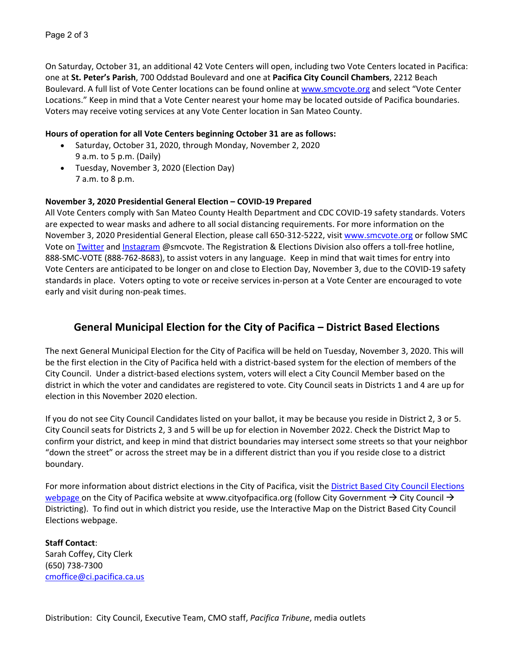On Saturday, October 31, an additional 42 Vote Centers will open, including two Vote Centers located in Pacifica: one at **St. Peter's Parish**, 700 Oddstad Boulevard and one at **Pacifica City Council Chambers**, 2212 Beach Boulevard. A full list of Vote Center locations can be found online at [www.smcvote.org](http://www.smcvote.org/) and select "Vote Center Locations." Keep in mind that a Vote Center nearest your home may be located outside of Pacifica boundaries. Voters may receive voting services at any Vote Center location in San Mateo County.

#### **Hours of operation for all Vote Centers beginning October 31 are as follows:**

- Saturday, October 31, 2020, through Monday, November 2, 2020 9 a.m. to 5 p.m. (Daily)
- Tuesday, November 3, 2020 (Election Day) 7 a.m. to 8 p.m.

#### **November 3, 2020 Presidential General Election – COVID-19 Prepared**

All Vote Centers comply with San Mateo County Health Department and CDC COVID-19 safety standards. Voters are expected to wear masks and adhere to all social distancing requirements. For more information on the November 3, 2020 Presidential General Election, please call 650-312-5222, visit [www.smcvote.org](http://www.smcvote.org/) or follow SMC Vote on [Twitter](https://twitter.com/smcvote) and [Instagram](https://www.instagram.com/smcvote/?hl=en) @smcvote. The Registration & Elections Division also offers a toll-free hotline, 888-SMC-VOTE (888-762-8683), to assist voters in any language. Keep in mind that wait times for entry into Vote Centers are anticipated to be longer on and close to Election Day, November 3, due to the COVID-19 safety standards in place. Voters opting to vote or receive services in-person at a Vote Center are encouraged to vote early and visit during non-peak times.

# **General Municipal Election for the City of Pacifica – District Based Elections**

The next General Municipal Election for the City of Pacifica will be held on Tuesday, November 3, 2020. This will be the first election in the City of Pacifica held with a district-based system for the election of members of the City Council. Under a district-based elections system, voters will elect a City Council Member based on the district in which the voter and candidates are registered to vote. City Council seats in Districts 1 and 4 are up for election in this November 2020 election.

If you do not see City Council Candidates listed on your ballot, it may be because you reside in District 2, 3 or 5. City Council seats for Districts 2, 3 and 5 will be up for election in November 2022. Check the District Map to confirm your district, and keep in mind that district boundaries may intersect some streets so that your neighbor "down the street" or across the street may be in a different district than you if you reside close to a district boundary.

For more information about district elections in the City of Pacifica, visit the [District Based City Council](https://www.cityofpacifica.org/government/clerk/district_based_city_council_elections.asp) Elections [webpage](https://www.cityofpacifica.org/government/clerk/district_based_city_council_elections.asp) on the City of Pacifica website at [www.cityofpacifica.org](http://www.cityofpacifica.org/) (follow City Government  $\rightarrow$  City Council  $\rightarrow$ Districting). To find out in which district you reside, use the [Interactive Map](https://drive.google.com/open?id=1QKbcq9WDKTUgSEoG6E4ahWH839n0T-JR&usp=sharing) on the District Based City Council Elections webpage.

#### **Staff Contact**:

Sarah Coffey, City Clerk (650) 738-7300 [cmoffice@ci.pacifica.ca.us](mailto:cmoffice@ci.pacifica.ca.us)